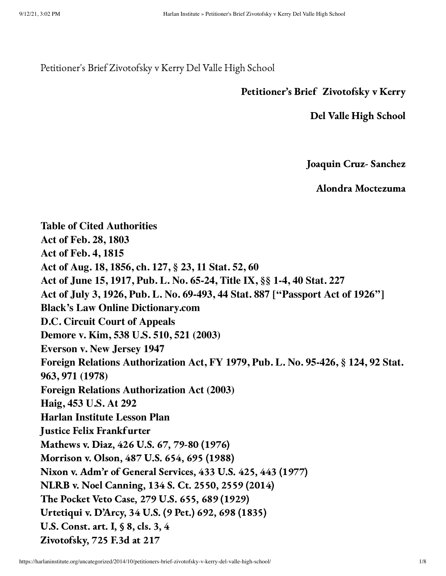Petitioner's Brief Zivotofsky v Kerry Del Valle High School

#### Petitioner's Brief Zivotofsky v Kerry

Del Valle High School

Joaquin Cruz- Sanchez

Alondra Moctezuma

**Table of Cited Authorities Act of Feb. 28, 1803 Act of Feb. 4, 1815 Act of Aug. 18, 1856, ch. 127, § 23, 11 Stat. 52, 60 Act of June 15, 1917, Pub. L. No. 65-24, Title IX, §§ 1-4, 40 Stat. 227 Act of July 3, 1926, Pub. L. No. 69-493, 44 Stat. 887 [''Passport Act of 1926''] Black's Law Online Dictionary.com D.C. Circuit Court of Appeals Demore v. Kim, 538 U.S. 510, 521 (2003) Everson v. New Jersey 1947 Foreign Relations Authorization Act, FY 1979, Pub. L. No. 95-426, § 124, 92 Stat. 963, 971 (1978) Foreign Relations Authorization Act (2003) Haig, 453 U.S. At 292 Harlan Institute Lesson Plan** Justice Felix Frankf urter Mathews v. Diaz, 426 U.S. 67, 79-80 (1976) Morrison v. Olson, 487 U.S. 654, 695 (1988) Nixon v. Adm'r of General Services, 433 U.S. 425, 443 (1977) NLRB v. Noel Canning, 134 S. Ct. 2550, 2559 (2014) The Pocket Veto Case, 279 U.S. 655, 689 (1929) Urtetiqui v. D'Arcy, 34 U.S. (9 Pet.) 692, 698 (1835) U.S. Const. art. I, § 8, cls. 3, 4 Zivotofsky, 725 F.3d at 217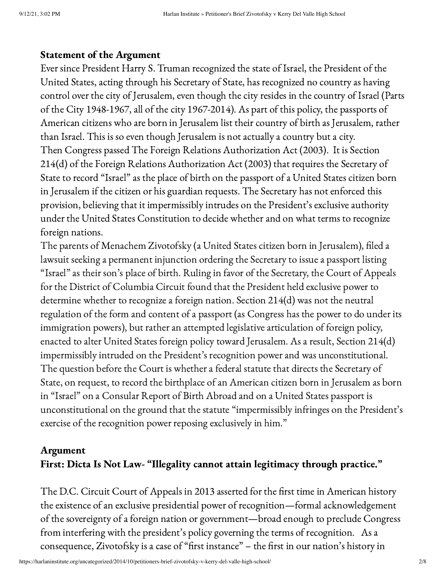### Statement of the Argument

Ever since President Harry S. Truman recognized the state of Israel, the President of the United States, acting through his Secretary of State, has recognized no country as having control over the city of Jerusalem, even though the city resides in the country of Israel (Parts of the City 1948-1967, all of the city 1967-2014). As part of this policy, the passports of American citizens who are born in Jerusalem list their country of birth as Jerusalem, rather than Israel. This is so even though Jerusalem is not actually a country but a city. Then Congress passed The Foreign Relations Authorization Act (2003). It is Section 214(d) of the Foreign Relations Authorization Act (2003) that requires the Secretary of State to record "Israel" as the place of birth on the passport of a United States citizen born in Jerusalem if the citizen or his guardian requests. The Secretary has not enforced this provision, believing that it impermissibly intrudes on the President's exclusive authority under the United States Constitution to decide whether and on what terms to recognize foreign nations.

The parents of Menachem Zivotofsky (a United States citizen born in Jerusalem), filed a lawsuit seeking a permanent injunction ordering the Secretary to issue a passport listing "Israel" as their son's place of birth. Ruling in favor of the Secretary, the Court of Appeals for the District of Columbia Circuit found that the President held exclusive power to determine whether to recognize a foreign nation. Section 214(d) was not the neutral regulation of the form and content of a passport (as Congress has the power to do under its immigration powers), but rather an attempted legislative articulation of foreign policy, enacted to alter United States foreign policy toward Jerusalem. As a result, Section 214(d) impermissibly intruded on the President's recognition power and was unconstitutional. The question before the Court is whether a federal statute that directs the Secretary of State, on request, to record the birthplace of an American citizen born in Jerusalem as born in "Israel" on a Consular Report of Birth Abroad and on a United States passport is unconstitutional on the ground that the statute "impermissibly infringes on the President's exercise of the recognition power reposing exclusively in him."

## Argument First: Dicta Is Not Law- "Illegality cannot attain legitimacy through practice."

The D.C. Circuit Court of Appeals in 2013 asserted for the first time in American history the existence of an exclusive presidential power of recognition—formal acknowledgement of the sovereignty of a foreign nation or government—broad enough to preclude Congress from interfering with the president's policy governing the terms of recognition. As a consequence, Zivotofsky is a case of "first instance" – the first in our nation's history in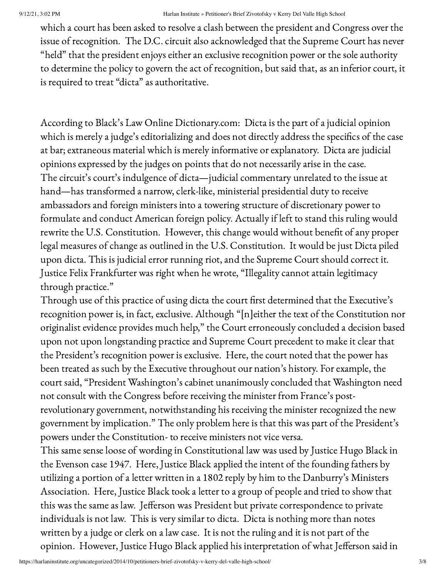which a court has been asked to resolve a clash between the president and Congress over the issue of recognition. The D.C. circuit also acknowledged that the Supreme Court has never "held" that the president enjoys either an exclusive recognition power or the sole authority to determine the policy to govern the act of recognition, but said that, as an inferior court, it is required to treat "dicta" as authoritative.

According to Black's Law Online Dictionary.com: Dicta is the part of a judicial opinion which is merely a judge's editorializing and does not directly address the specifics of the case at bar; extraneous material which is merely informative or explanatory. Dicta are judicial opinions expressed by the judges on points that do not necessarily arise in the case. The circuit's court's indulgence of dicta—judicial commentary unrelated to the issue at hand—has transformed a narrow, clerk-like, ministerial presidential duty to receive ambassadors and foreign ministers into a towering structure of discretionary power to formulate and conduct American foreign policy. Actually if left to stand this ruling would rewrite the U.S. Constitution. However, this change would without benefit of any proper legal measures of change as outlined in the U.S. Constitution. It would be just Dicta piled upon dicta. This is judicial error running riot, and the Supreme Court should correct it. Justice Felix Frankfurter was right when he wrote, "Illegality cannot attain legitimacy through practice."

Through use of this practice of using dicta the court first determined that the Executive's recognition power is, in fact, exclusive. Although "[n]either the text of the Constitution nor originalist evidence provides much help," the Court erroneously concluded a decision based upon not upon longstanding practice and Supreme Court precedent to make it clear that the President's recognition power is exclusive. Here, the court noted that the power has been treated as such by the Executive throughout our nation's history. For example, the court said, "President Washington's cabinet unanimously concluded that Washington need not consult with the Congress before receiving the minister from France's postrevolutionary government, notwithstanding his receiving the minister recognized the new government by implication." The only problem here is that this was part of the President's powers under the Constitution- to receive ministers not vice versa.

This same sense loose of wording in Constitutional law was used by Justice Hugo Black in the Evenson case 1947. Here, Justice Black applied the intent of the founding fathers by utilizing a portion of a letter written in a 1802 reply by him to the Danburry's Ministers Association. Here, Justice Black took a letter to a group of people and tried to show that this was the same as law. Jefferson was President but private correspondence to private individuals is not law. This is very similar to dicta. Dicta is nothing more than notes written by a judge or clerk on a law case. It is not the ruling and it is not part of the opinion. However, Justice Hugo Black applied his interpretation of what Jefferson said in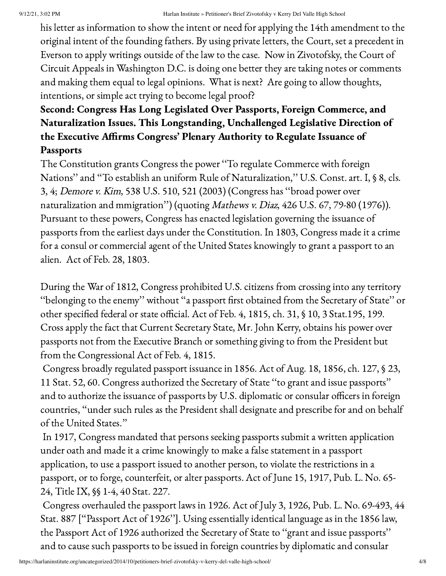his letter as information to show the intent or need for applying the 14th amendment to the original intent of the founding fathers. By using private letters, the Court, set a precedent in Everson to apply writings outside of the law to the case. Now in Zivotofsky, the Court of Circuit Appeals in Washington D.C. is doing one better they are taking notes or comments and making them equal to legal opinions. What is next? Are going to allow thoughts, intentions, or simple act trying to become legal proof?

# Second: Congress Has Long Legislated Over Passports, Foreign Commerce, and Naturalization Issues. This Longstanding, Unchallenged Legislative Direction of the Executive Affirms Congress' Plenary Authority to Regulate Issuance of Passports

The Constitution grants Congress the power ''To regulate Commerce with foreign Nations" and "To establish an uniform Rule of Naturalization," U.S. Const. art. I, § 8, cls. 3, 4; Demore v. Kim, 538 U.S. 510, 521 (2003) (Congress has ''broad power over naturalization and mmigration'') (quoting Mathews v. Diaz, 426 U.S. 67, 79-80 (1976)). Pursuant to these powers, Congress has enacted legislation governing the issuance of passports from the earliest days under the Constitution. In 1803, Congress made it a crime for a consul or commercial agent of the United States knowingly to grant a passport to an alien. Act of Feb. 28, 1803.

During the War of 1812, Congress prohibited U.S. citizens from crossing into any territory ''belonging to the enemy'' without ''a passport first obtained from the Secretary of State'' or other specified federal or state official. Act of Feb. 4, 1815, ch. 31, § 10, 3 Stat.195, 199. Cross apply the fact that Current Secretary State, Mr. John Kerry, obtains his power over passports not from the Executive Branch or something giving to from the President but from the Congressional Act of Feb. 4, 1815.

Congress broadly regulated passport issuance in 1856. Act of Aug. 18, 1856, ch. 127, § 23, 11 Stat. 52, 60. Congress authorized the Secretary of State ''to grant and issue passports'' and to authorize the issuance of passports by U.S. diplomatic or consular officers in foreign countries, ''under such rules as the President shall designate and prescribe for and on behalf of the United States.''

In 1917, Congress mandated that persons seeking passports submit a written application under oath and made it a crime knowingly to make a false statement in a passport application, to use a passport issued to another person, to violate the restrictions in a passport, or to forge, counterfeit, or alter passports. Act of June 15, 1917, Pub. L. No. 65- 24, Title IX, §§ 1-4, 40 Stat. 227.

Congress overhauled the passport laws in 1926. Act of July 3, 1926, Pub. L. No. 69-493, 44 Stat. 887 [''Passport Act of 1926'']. Using essentially identical language as in the 1856 law, the Passport Act of 1926 authorized the Secretary of State to ''grant and issue passports'' and to cause such passports to be issued in foreign countries by diplomatic and consular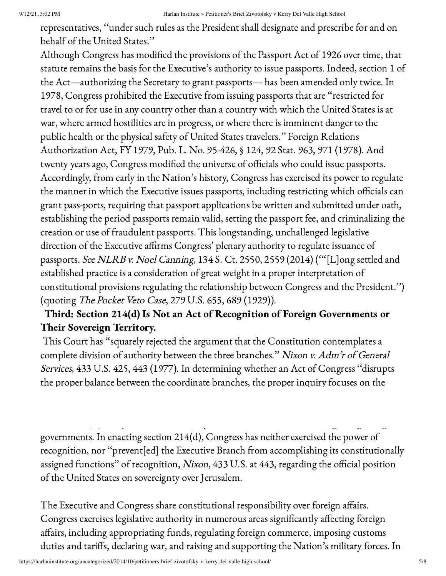representatives, ''under such rules as the President shall designate and prescribe for and on behalf of the United States.''

Although Congress has modified the provisions of the Passport Act of 1926 over time, that statute remains the basis for the Executive's authority to issue passports. Indeed, section 1 of the Act—authorizing the Secretary to grant passports— has been amended only twice. In 1978, Congress prohibited the Executive from issuing passports that are ''restricted for travel to or for use in any country other than a country with which the United States is at war, where armed hostilities are in progress, or where there is imminent danger to the public health or the physical safety of United States travelers.'' Foreign Relations Authorization Act, FY 1979, Pub. L. No. 95-426, § 124, 92 Stat. 963, 971 (1978). And twenty years ago, Congress modified the universe of officials who could issue passports. Accordingly, from early in the Nation's history, Congress has exercised its power to regulate the manner in which the Executive issues passports, including restricting which officials can grant pass-ports, requiring that passport applications be written and submitted under oath, establishing the period passports remain valid, setting the passport fee, and criminalizing the creation or use of fraudulent passports. This longstanding, unchallenged legislative direction of the Executive affirms Congress' plenary authority to regulate issuance of passports. See NLRB v. Noel Canning, 134 S. Ct. 2550, 2559 (2014) ('''[L]ong settled and established practice is a consideration of great weight in a proper interpretation of constitutional provisions regulating the relationship between Congress and the President.'') (quoting The Pocket Veto Case, 279 U.S. 655, 689 (1929)).

# Third: Section 214(d) Is Not an Act of Recognition of Foreign Governments or Their Sovereign Territory.

This Court has ''squarely rejected the argument that the Constitution contemplates a complete division of authority between the three branches." Nixon v. Adm'r of General Services, 433 U.S. 425, 443 (1977). In determining whether an Act of Congress ''disrupts the proper balance between the coordinate branches, the proper inquiry focuses on the

governments. In enacting section 214(d), Congress has neither exercised the power of recognition, nor ''prevent[ed] the Executive Branch from accomplishing its constitutionally assigned functions'' of recognition, Nixon, 433 U.S. at 443, regarding the official position of the United States on sovereignty over Jerusalem.

The Executive and Congress share constitutional responsibility over foreign affairs. Congress exercises legislative authority in numerous areas significantly affecting foreign affairs, including appropriating funds, regulating foreign commerce, imposing customs duties and tariffs, declaring war, and raising and supporting the Nation's military forces. In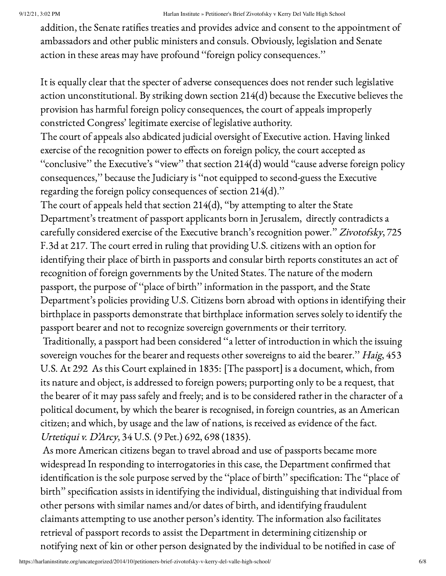addition, the Senate ratifies treaties and provides advice and consent to the appointment of ambassadors and other public ministers and consuls. Obviously, legislation and Senate action in these areas may have profound ''foreign policy consequences.''

It is equally clear that the specter of adverse consequences does not render such legislative action unconstitutional. By striking down section 214(d) because the Executive believes the provision has harmful foreign policy consequences, the court of appeals improperly constricted Congress' legitimate exercise of legislative authority.

The court of appeals also abdicated judicial oversight of Executive action. Having linked exercise of the recognition power to effects on foreign policy, the court accepted as ''conclusive'' the Executive's ''view'' that section 214(d) would ''cause adverse foreign policy consequences,'' because the Judiciary is ''not equipped to second-guess the Executive regarding the foreign policy consequences of section 214(d).''

The court of appeals held that section 214(d), ''by attempting to alter the State Department's treatment of passport applicants born in Jerusalem, directly contradicts a carefully considered exercise of the Executive branch's recognition power.'' Zivotofsky, 725 F.3d at 217. The court erred in ruling that providing U.S. citizens with an option for identifying their place of birth in passports and consular birth reports constitutes an act of recognition of foreign governments by the United States. The nature of the modern passport, the purpose of ''place of birth'' information in the passport, and the State Department's policies providing U.S. Citizens born abroad with options in identifying their birthplace in passports demonstrate that birthplace information serves solely to identify the passport bearer and not to recognize sovereign governments or their territory.

Traditionally, a passport had been considered ''a letter of introduction in which the issuing sovereign vouches for the bearer and requests other sovereigns to aid the bearer." Haig, 453 U.S. At 292 As this Court explained in 1835: [The passport] is a document, which, from its nature and object, is addressed to foreign powers; purporting only to be a request, that the bearer of it may pass safely and freely; and is to be considered rather in the character of a political document, by which the bearer is recognised, in foreign countries, as an American citizen; and which, by usage and the law of nations, is received as evidence of the fact. Urtetiqui v. D'Arcy, 34 U.S. (9 Pet.) 692, 698 (1835).

As more American citizens began to travel abroad and use of passports became more widespread In responding to interrogatories in this case, the Department confirmed that identification is the sole purpose served by the ''place of birth'' specification: The ''place of birth'' specification assists in identifying the individual, distinguishing that individual from other persons with similar names and/or dates of birth, and identifying fraudulent claimants attempting to use another person's identity. The information also facilitates retrieval of passport records to assist the Department in determining citizenship or notifying next of kin or other person designated by the individual to be notified in case of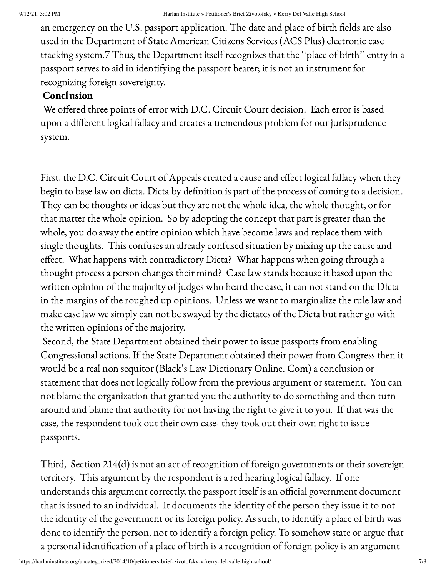an emergency on the U.S. passport application. The date and place of birth fields are also used in the Department of State American Citizens Services (ACS Plus) electronic case tracking system.7 Thus, the Department itself recognizes that the ''place of birth'' entry in a passport serves to aid in identifying the passport bearer; it is not an instrument for recognizing foreign sovereignty.

### Conclusion

We offered three points of error with D.C. Circuit Court decision. Each error is based upon a different logical fallacy and creates a tremendous problem for our jurisprudence system.

First, the D.C. Circuit Court of Appeals created a cause and effect logical fallacy when they begin to base law on dicta. Dicta by definition is part of the process of coming to a decision. They can be thoughts or ideas but they are not the whole idea, the whole thought, or for that matter the whole opinion. So by adopting the concept that part is greater than the whole, you do away the entire opinion which have become laws and replace them with single thoughts. This confuses an already confused situation by mixing up the cause and effect. What happens with contradictory Dicta? What happens when going through a thought process a person changes their mind? Case law stands because it based upon the written opinion of the majority of judges who heard the case, it can not stand on the Dicta in the margins of the roughed up opinions. Unless we want to marginalize the rule law and make case law we simply can not be swayed by the dictates of the Dicta but rather go with the written opinions of the majority.

Second, the State Department obtained their power to issue passports from enabling Congressional actions. If the State Department obtained their power from Congress then it would be a real non sequitor (Black's Law Dictionary Online. Com) a conclusion or statement that does not logically follow from the previous argument or statement. You can not blame the organization that granted you the authority to do something and then turn around and blame that authority for not having the right to give it to you. If that was the case, the respondent took out their own case- they took out their own right to issue passports.

Third, Section 214(d) is not an act of recognition of foreign governments or their sovereign territory. This argument by the respondent is a red hearing logical fallacy. If one understands this argument correctly, the passport itself is an official government document that is issued to an individual. It documents the identity of the person they issue it to not the identity of the government or its foreign policy. As such, to identify a place of birth was done to identify the person, not to identify a foreign policy. To somehow state or argue that a personal identification of a place of birth is a recognition of foreign policy is an argument